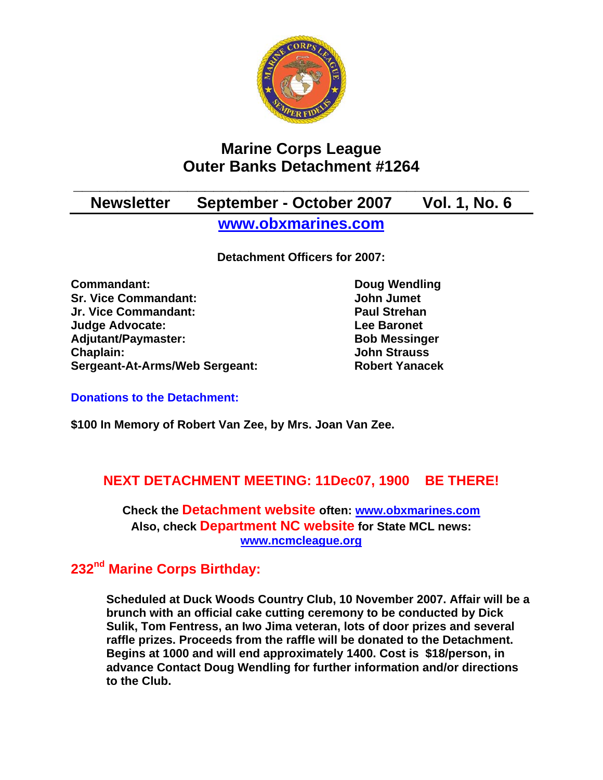

# **Marine Corps League Outer Banks Detachment #1264**

## **\_\_\_\_\_\_\_\_\_\_\_\_\_\_\_\_\_\_\_\_\_\_\_\_\_\_\_\_\_\_\_\_\_\_\_\_\_\_\_\_\_\_\_\_\_\_\_\_\_\_\_\_ Newsletter September - October 2007 Vol. 1, No. 6 [www.obxmarines.com](http://www.obxmarines.com/)**

**Detachment Officers for 2007:** 

**Commandant:** Doug Wendling **Sr. Vice Commandant:** John Jumet **Jr. Vice Commandant: Paul Strehan Judge Advocate: Lee Baronet**  Adjutant/Paymaster: Bob Messinger **Chaplain: John Strauss Sergeant-At-Arms/Web Sergeant: Robert Yanacek**

#### **Donations to the Detachment:**

**\$100 In Memory of Robert Van Zee, by Mrs. Joan Van Zee.** 

## **NEXT DETACHMENT MEETING: 11Dec07, 1900 BE THERE!**

**Check the Detachment website often: [www.obxmarines.com](http://www.obxmarines.com/) Also, check Department NC website for State MCL news: [www.ncmcleague.org](http://www.ncmcleague.org/)**

## **232nd Marine Corps Birthday:**

**Scheduled at Duck Woods Country Club, 10 November 2007. Affair will be a brunch with an official cake cutting ceremony to be conducted by Dick Sulik, Tom Fentress, an Iwo Jima veteran, lots of door prizes and several raffle prizes. Proceeds from the raffle will be donated to the Detachment. Begins at 1000 and will end approximately 1400. Cost is \$18/person, in advance Contact Doug Wendling for further information and/or directions to the Club.**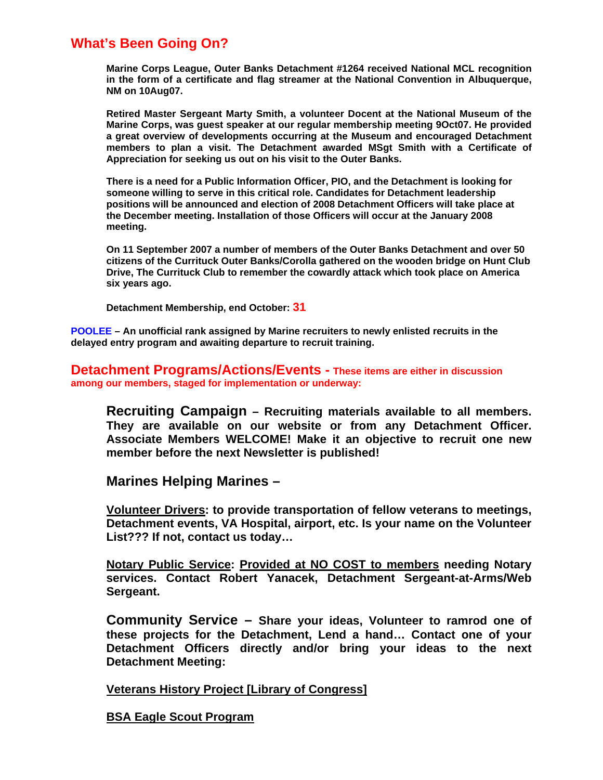## **What's Been Going On?**

**Marine Corps League, Outer Banks Detachment #1264 received National MCL recognition in the form of a certificate and flag streamer at the National Convention in Albuquerque, NM on 10Aug07.** 

**Retired Master Sergeant Marty Smith, a volunteer Docent at the National Museum of the Marine Corps, was guest speaker at our regular membership meeting 9Oct07. He provided a great overview of developments occurring at the Museum and encouraged Detachment members to plan a visit. The Detachment awarded MSgt Smith with a Certificate of Appreciation for seeking us out on his visit to the Outer Banks.** 

**There is a need for a Public Information Officer, PIO, and the Detachment is looking for someone willing to serve in this critical role. Candidates for Detachment leadership positions will be announced and election of 2008 Detachment Officers will take place at the December meeting. Installation of those Officers will occur at the January 2008 meeting.** 

**On 11 September 2007 a number of members of the Outer Banks Detachment and over 50 citizens of the Currituck Outer Banks/Corolla gathered on the wooden bridge on Hunt Club Drive, The Currituck Club to remember the cowardly attack which took place on America six years ago.** 

 **Detachment Membership, end October: 31**

**POOLEE – An unofficial rank assigned by Marine recruiters to newly enlisted recruits in the delayed entry program and awaiting departure to recruit training.** 

**Detachment Programs/Actions/Events - These items are either in discussion among our members, staged for implementation or underway:** 

**Recruiting Campaign – Recruiting materials available to all members. They are available on our website or from any Detachment Officer. Associate Members WELCOME! Make it an objective to recruit one new member before the next Newsletter is published!** 

**Marines Helping Marines –** 

**Volunteer Drivers: to provide transportation of fellow veterans to meetings, Detachment events, VA Hospital, airport, etc. Is your name on the Volunteer List??? If not, contact us today…** 

**Notary Public Service: Provided at NO COST to members needing Notary services. Contact Robert Yanacek, Detachment Sergeant-at-Arms/Web Sergeant.** 

**Community Service – Share your ideas, Volunteer to ramrod one of these projects for the Detachment, Lend a hand… Contact one of your Detachment Officers directly and/or bring your ideas to the next Detachment Meeting:** 

**Veterans History Project [Library of Congress]**

**BSA Eagle Scout Program**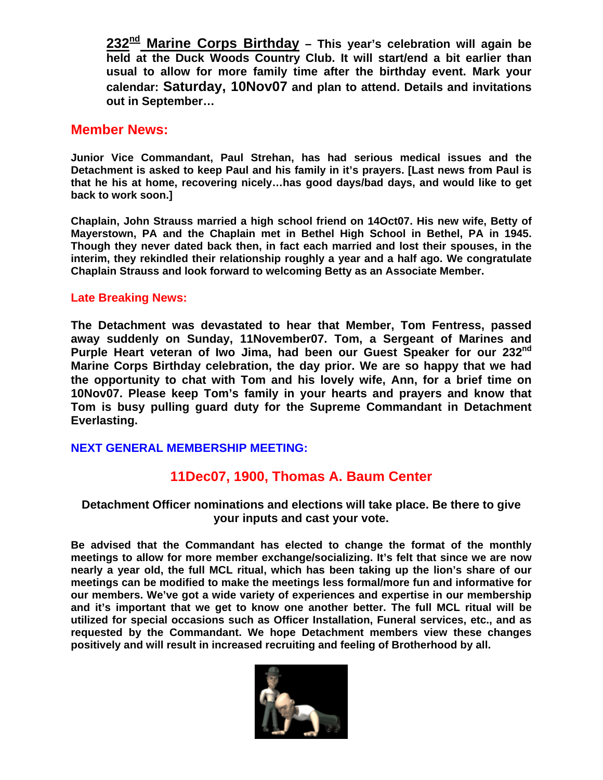**232nd Marine Corps Birthday – This year's celebration will again be held at the Duck Woods Country Club. It will start/end a bit earlier than usual to allow for more family time after the birthday event. Mark your calendar: Saturday, 10Nov07 and plan to attend. Details and invitations out in September…** 

#### **Member News:**

**Junior Vice Commandant, Paul Strehan, has had serious medical issues and the Detachment is asked to keep Paul and his family in it's prayers. [Last news from Paul is that he his at home, recovering nicely…has good days/bad days, and would like to get back to work soon.]** 

**Chaplain, John Strauss married a high school friend on 14Oct07. His new wife, Betty of Mayerstown, PA and the Chaplain met in Bethel High School in Bethel, PA in 1945. Though they never dated back then, in fact each married and lost their spouses, in the interim, they rekindled their relationship roughly a year and a half ago. We congratulate Chaplain Strauss and look forward to welcoming Betty as an Associate Member.** 

#### **Late Breaking News:**

**The Detachment was devastated to hear that Member, Tom Fentress, passed away suddenly on Sunday, 11November07. Tom, a Sergeant of Marines and Purple Heart veteran of Iwo Jima, had been our Guest Speaker for our 232nd Marine Corps Birthday celebration, the day prior. We are so happy that we had the opportunity to chat with Tom and his lovely wife, Ann, for a brief time on 10Nov07. Please keep Tom's family in your hearts and prayers and know that Tom is busy pulling guard duty for the Supreme Commandant in Detachment Everlasting.** 

#### **NEXT GENERAL MEMBERSHIP MEETING:**

## **11Dec07, 1900, Thomas A. Baum Center**

#### **Detachment Officer nominations and elections will take place. Be there to give your inputs and cast your vote.**

**Be advised that the Commandant has elected to change the format of the monthly meetings to allow for more member exchange/socializing. It's felt that since we are now nearly a year old, the full MCL ritual, which has been taking up the lion's share of our meetings can be modified to make the meetings less formal/more fun and informative for our members. We've got a wide variety of experiences and expertise in our membership and it's important that we get to know one another better. The full MCL ritual will be utilized for special occasions such as Officer Installation, Funeral services, etc., and as requested by the Commandant. We hope Detachment members view these changes positively and will result in increased recruiting and feeling of Brotherhood by all.** 

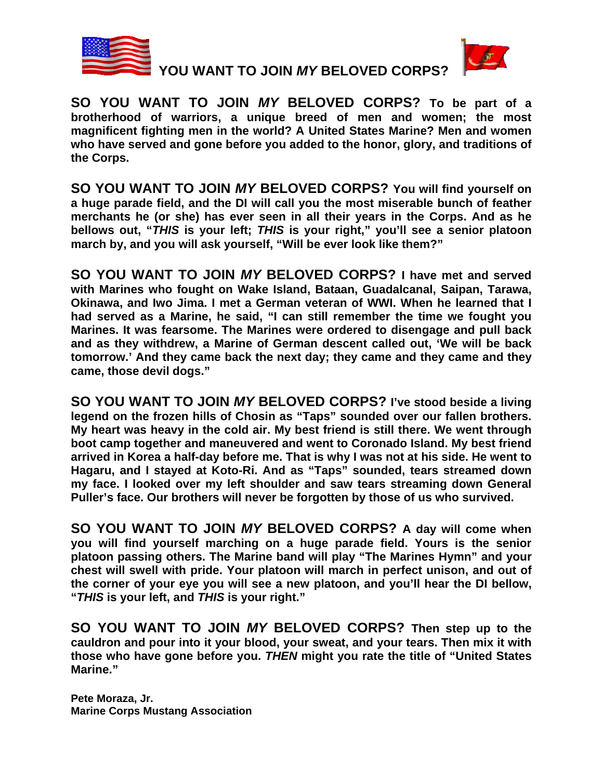

 **YOU WANT TO JOIN** *MY* **BELOVED CORPS?** 



**SO YOU WANT TO JOIN** *MY* **BELOVED CORPS? To be part of a brotherhood of warriors, a unique breed of men and women; the most magnificent fighting men in the world? A United States Marine? Men and women who have served and gone before you added to the honor, glory, and traditions of the Corps.** 

**SO YOU WANT TO JOIN** *MY* **BELOVED CORPS? You will find yourself on a huge parade field, and the DI will call you the most miserable bunch of feather merchants he (or she) has ever seen in all their years in the Corps. And as he bellows out, "***THIS* **is your left;** *THIS* **is your right," you'll see a senior platoon march by, and you will ask yourself, "Will be ever look like them?"** 

**SO YOU WANT TO JOIN** *MY* **BELOVED CORPS? I have met and served with Marines who fought on Wake Island, Bataan, Guadalcanal, Saipan, Tarawa, Okinawa, and Iwo Jima. I met a German veteran of WWI. When he learned that I had served as a Marine, he said, "I can still remember the time we fought you Marines. It was fearsome. The Marines were ordered to disengage and pull back and as they withdrew, a Marine of German descent called out, 'We will be back tomorrow.' And they came back the next day; they came and they came and they came, those devil dogs."** 

**SO YOU WANT TO JOIN** *MY* **BELOVED CORPS? I've stood beside a living legend on the frozen hills of Chosin as "Taps" sounded over our fallen brothers. My heart was heavy in the cold air. My best friend is still there. We went through boot camp together and maneuvered and went to Coronado Island. My best friend arrived in Korea a half-day before me. That is why I was not at his side. He went to Hagaru, and I stayed at Koto-Ri. And as "Taps" sounded, tears streamed down my face. I looked over my left shoulder and saw tears streaming down General Puller's face. Our brothers will never be forgotten by those of us who survived.** 

**SO YOU WANT TO JOIN** *MY* **BELOVED CORPS? A day will come when you will find yourself marching on a huge parade field. Yours is the senior platoon passing others. The Marine band will play "The Marines Hymn" and your chest will swell with pride. Your platoon will march in perfect unison, and out of the corner of your eye you will see a new platoon, and you'll hear the DI bellow, "***THIS* **is your left, and** *THIS* **is your right."**

**SO YOU WANT TO JOIN** *MY* **BELOVED CORPS? Then step up to the cauldron and pour into it your blood, your sweat, and your tears. Then mix it with those who have gone before you.** *THEN* **might you rate the title of "United States Marine."** 

**Pete Moraza, Jr. Marine Corps Mustang Association**